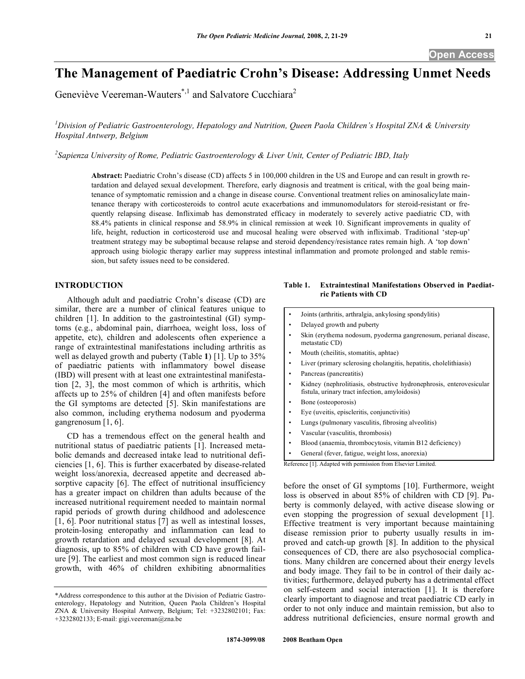# **The Management of Paediatric Crohn's Disease: Addressing Unmet Needs**

Geneviève Veereman-Wauters<sup>\*,1</sup> and Salvatore Cucchiara<sup>2</sup>

*1 Division of Pediatric Gastroenterology, Hepatology and Nutrition, Queen Paola Children's Hospital ZNA & University Hospital Antwerp, Belgium* 

*2 Sapienza University of Rome, Pediatric Gastroenterology & Liver Unit, Center of Pediatric IBD, Italy* 

**Abstract:** Paediatric Crohn's disease (CD) affects 5 in 100,000 children in the US and Europe and can result in growth retardation and delayed sexual development. Therefore, early diagnosis and treatment is critical, with the goal being maintenance of symptomatic remission and a change in disease course. Conventional treatment relies on aminosalicylate maintenance therapy with corticosteroids to control acute exacerbations and immunomodulators for steroid-resistant or frequently relapsing disease. Infliximab has demonstrated efficacy in moderately to severely active paediatric CD, with 88.4% patients in clinical response and 58.9% in clinical remission at week 10. Significant improvements in quality of life, height, reduction in corticosteroid use and mucosal healing were observed with infliximab. Traditional 'step-up' treatment strategy may be suboptimal because relapse and steroid dependency/resistance rates remain high. A 'top down' approach using biologic therapy earlier may suppress intestinal inflammation and promote prolonged and stable remission, but safety issues need to be considered.

# **INTRODUCTION**

 Although adult and paediatric Crohn's disease (CD) are similar, there are a number of clinical features unique to children [1]. In addition to the gastrointestinal (GI) symptoms (e.g., abdominal pain, diarrhoea, weight loss, loss of appetite, etc), children and adolescents often experience a range of extraintestinal manifestations including arthritis as well as delayed growth and puberty (Table **1**) [1]. Up to 35% of paediatric patients with inflammatory bowel disease (IBD) will present with at least one extraintestinal manifestation [2, 3], the most common of which is arthritis, which affects up to 25% of children [4] and often manifests before the GI symptoms are detected [5]. Skin manifestations are also common, including erythema nodosum and pyoderma gangrenosum [1, 6].

 CD has a tremendous effect on the general health and nutritional status of paediatric patients [1]. Increased metabolic demands and decreased intake lead to nutritional deficiencies [1, 6]. This is further exacerbated by disease-related weight loss/anorexia, decreased appetite and decreased absorptive capacity [6]. The effect of nutritional insufficiency has a greater impact on children than adults because of the increased nutritional requirement needed to maintain normal rapid periods of growth during childhood and adolescence [1, 6]. Poor nutritional status [7] as well as intestinal losses, protein-losing enteropathy and inflammation can lead to growth retardation and delayed sexual development [8]. At diagnosis, up to 85% of children with CD have growth failure [9]. The earliest and most common sign is reduced linear growth, with 46% of children exhibiting abnormalities

# **Table 1. Extraintestinal Manifestations Observed in Paediatric Patients with CD**

• Joints (arthritis, arthralgia, ankylosing spondylitis) • Delayed growth and puberty • Skin (erythema nodosum, pyoderma gangrenosum, perianal disease, metastatic CD) • Mouth (cheilitis, stomatitis, aphtae) Liver (primary sclerosing cholangitis, hepatitis, cholelithiasis) Pancreas (pancreatitis) Kidney (nephrolitiasis, obstructive hydronephrosis, enterovesicular fistula, urinary tract infection, amyloidosis) Bone (osteoporosis) • Eye (uveitis, episcleritis, conjunctivitis) • Lungs (pulmonary vasculitis, fibrosing alveolitis) • Vascular (vasculitis, thrombosis) • Blood (anaemia, thrombocytosis, vitamin B12 deficiency) • General (fever, fatigue, weight loss, anorexia) Reference [1]. Adapted with permission from Elsevier Limited. before the onset of GI symptoms [10]. Furthermore, weight

loss is observed in about 85% of children with CD [9]. Puberty is commonly delayed, with active disease slowing or even stopping the progression of sexual development [1]. Effective treatment is very important because maintaining disease remission prior to puberty usually results in improved and catch-up growth [8]. In addition to the physical consequences of CD, there are also psychosocial complications. Many children are concerned about their energy levels and body image. They fail to be in control of their daily activities; furthermore, delayed puberty has a detrimental effect on self-esteem and social interaction [1]. It is therefore clearly important to diagnose and treat paediatric CD early in order to not only induce and maintain remission, but also to address nutritional deficiencies, ensure normal growth and

<sup>\*</sup>Address correspondence to this author at the Division of Pediatric Gastroenterology, Hepatology and Nutrition, Queen Paola Children's Hospital ZNA & University Hospital Antwerp, Belgium; Tel: +3232802101; Fax: +3232802133; E-mail: gigi.veereman@zna.be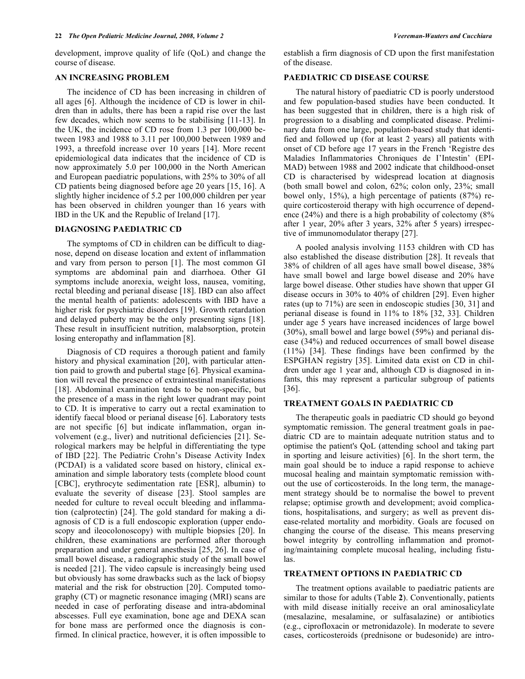development, improve quality of life (QoL) and change the course of disease.

# **AN INCREASING PROBLEM**

 The incidence of CD has been increasing in children of all ages [6]. Although the incidence of CD is lower in children than in adults, there has been a rapid rise over the last few decades, which now seems to be stabilising [11-13]. In the UK, the incidence of CD rose from 1.3 per 100,000 between 1983 and 1988 to 3.11 per 100,000 between 1989 and 1993, a threefold increase over 10 years [14]. More recent epidemiological data indicates that the incidence of CD is now approximately 5.0 per 100,000 in the North American and European paediatric populations, with 25% to 30% of all CD patients being diagnosed before age 20 years [15, 16]. A slightly higher incidence of 5.2 per 100,000 children per year has been observed in children younger than 16 years with IBD in the UK and the Republic of Ireland [17].

### **DIAGNOSING PAEDIATRIC CD**

 The symptoms of CD in children can be difficult to diagnose, depend on disease location and extent of inflammation and vary from person to person [1]. The most common GI symptoms are abdominal pain and diarrhoea. Other GI symptoms include anorexia, weight loss, nausea, vomiting, rectal bleeding and perianal disease [18]. IBD can also affect the mental health of patients: adolescents with IBD have a higher risk for psychiatric disorders [19]. Growth retardation and delayed puberty may be the only presenting signs [18]. These result in insufficient nutrition, malabsorption, protein losing enteropathy and inflammation [8].

 Diagnosis of CD requires a thorough patient and family history and physical examination [20], with particular attention paid to growth and pubertal stage [6]. Physical examination will reveal the presence of extraintestinal manifestations [18]. Abdominal examination tends to be non-specific, but the presence of a mass in the right lower quadrant may point to CD. It is imperative to carry out a rectal examination to identify faecal blood or perianal disease [6]. Laboratory tests are not specific [6] but indicate inflammation, organ involvement (e.g., liver) and nutritional deficiencies [21]. Serological markers may be helpful in differentiating the type of IBD [22]. The Pediatric Crohn's Disease Activity Index (PCDAI) is a validated score based on history, clinical examination and simple laboratory tests (complete blood count [CBC], erythrocyte sedimentation rate [ESR], albumin) to evaluate the severity of disease [23]. Stool samples are needed for culture to reveal occult bleeding and inflammation (calprotectin) [24]. The gold standard for making a diagnosis of CD is a full endoscopic exploration (upper endoscopy and ileocolonoscopy) with multiple biopsies [20]. In children, these examinations are performed after thorough preparation and under general anesthesia [25, 26]. In case of small bowel disease, a radiographic study of the small bowel is needed [21]. The video capsule is increasingly being used but obviously has some drawbacks such as the lack of biopsy material and the risk for obstruction [20]. Computed tomography (CT) or magnetic resonance imaging (MRI) scans are needed in case of perforating disease and intra-abdominal abscesses. Full eye examination, bone age and DEXA scan for bone mass are performed once the diagnosis is confirmed. In clinical practice, however, it is often impossible to

establish a firm diagnosis of CD upon the first manifestation of the disease.

# **PAEDIATRIC CD DISEASE COURSE**

 The natural history of paediatric CD is poorly understood and few population-based studies have been conducted. It has been suggested that in children, there is a high risk of progression to a disabling and complicated disease. Preliminary data from one large, population-based study that identified and followed up (for at least 2 years) all patients with onset of CD before age 17 years in the French 'Registre des Maladies Inflammatories Chroniques de I'Intestin' (EPI-MAD) between 1988 and 2002 indicate that childhood-onset CD is characterised by widespread location at diagnosis (both small bowel and colon, 62%; colon only, 23%; small bowel only, 15%), a high percentage of patients (87%) require corticosteroid therapy with high occurrence of dependence (24%) and there is a high probability of colectomy (8% after 1 year, 20% after 3 years, 32% after 5 years) irrespective of immunomodulator therapy [27].

 A pooled analysis involving 1153 children with CD has also established the disease distribution [28]. It reveals that 38% of children of all ages have small bowel disease, 38% have small bowel and large bowel disease and 20% have large bowel disease. Other studies have shown that upper GI disease occurs in 30% to 40% of children [29]. Even higher rates (up to 71%) are seen in endoscopic studies [30, 31] and perianal disease is found in 11% to 18% [32, 33]. Children under age 5 years have increased incidences of large bowel (30%), small bowel and large bowel (59%) and perianal disease (34%) and reduced occurrences of small bowel disease (11%) [34]. These findings have been confirmed by the ESPGHAN registry [35]. Limited data exist on CD in children under age 1 year and, although CD is diagnosed in infants, this may represent a particular subgroup of patients [36].

# **TREATMENT GOALS IN PAEDIATRIC CD**

 The therapeutic goals in paediatric CD should go beyond symptomatic remission. The general treatment goals in paediatric CD are to maintain adequate nutrition status and to optimise the patient's QoL (attending school and taking part in sporting and leisure activities) [6]. In the short term, the main goal should be to induce a rapid response to achieve mucosal healing and maintain symptomatic remission without the use of corticosteroids. In the long term, the management strategy should be to normalise the bowel to prevent relapse; optimise growth and development; avoid complications, hospitalisations, and surgery; as well as prevent disease-related mortality and morbidity. Goals are focused on changing the course of the disease. This means preserving bowel integrity by controlling inflammation and promoting/maintaining complete mucosal healing, including fistulas.

#### **TREATMENT OPTIONS IN PAEDIATRIC CD**

 The treatment options available to paediatric patients are similar to those for adults (Table **2**). Conventionally, patients with mild disease initially receive an oral aminosalicylate (mesalazine, mesalamine, or sulfasalazine) or antibiotics (e.g., ciprofloxacin or metronidazole). In moderate to severe cases, corticosteroids (prednisone or budesonide) are intro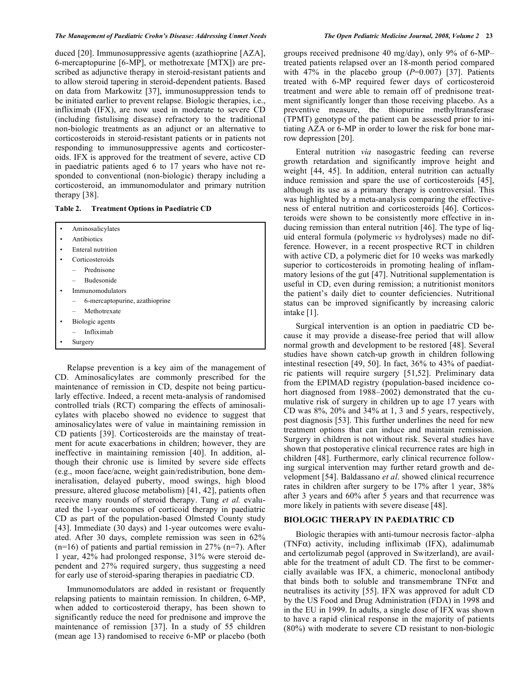duced [20]. Immunosuppressive agents (azathioprine [AZA], 6-mercaptopurine [6-MP], or methotrexate [MTX]) are prescribed as adjunctive therapy in steroid-resistant patients and to allow steroid tapering in steroid-dependent patients. Based on data from Markowitz [37], immunosuppression tends to be initiated earlier to prevent relapse. Biologic therapies, i.e., infliximab (IFX), are now used in moderate to severe CD (including fistulising disease) refractory to the traditional non-biologic treatments as an adjunct or an alternative to corticosteroids in steroid-resistant patients or in patients not responding to immunosuppressive agents and corticosteroids. IFX is approved for the treatment of severe, active CD in paediatric patients aged 6 to 17 years who have not responded to conventional (non-biologic) therapy including a corticosteroid, an immunomodulator and primary nutrition therapy [38].

**Table 2. Treatment Options in Paediatric CD** 

| Aminosalicylates                                           |  |  |
|------------------------------------------------------------|--|--|
| Antibiotics                                                |  |  |
| Enteral nutrition                                          |  |  |
| Corticosteroids                                            |  |  |
| Prednisone<br>$-$                                          |  |  |
| <b>Budesonide</b>                                          |  |  |
| Immunomodulators                                           |  |  |
| 6-mercaptopurine, azathioprine<br>$\overline{\phantom{0}}$ |  |  |
| Methotrexate                                               |  |  |
| Biologic agents                                            |  |  |
| Infliximab                                                 |  |  |
| Surgery                                                    |  |  |

 Relapse prevention is a key aim of the management of CD. Aminosalicylates are commonly prescribed for the maintenance of remission in CD, despite not being particularly effective. Indeed, a recent meta-analysis of randomised controlled trials (RCT) comparing the effects of aminosalicylates with placebo showed no evidence to suggest that aminosalicylates were of value in maintaining remission in CD patients [39]. Corticosteroids are the mainstay of treatment for acute exacerbations in children; however, they are ineffective in maintaining remission [40]. In addition, although their chronic use is limited by severe side effects (e.g., moon face/acne, weight gain/redistribution, bone demineralisation, delayed puberty, mood swings, high blood pressure, altered glucose metabolism) [41, 42], patients often receive many rounds of steroid therapy. Tung *et al.* evaluated the 1-year outcomes of corticoid therapy in paediatric CD as part of the population-based Olmsted County study [43]. Immediate (30 days) and 1-year outcomes were evaluated. After 30 days, complete remission was seen in 62%  $(n=16)$  of patients and partial remission in 27%  $(n=7)$ . After 1 year, 42% had prolonged response, 31% were steroid dependent and 27% required surgery, thus suggesting a need for early use of steroid-sparing therapies in paediatric CD.

 Immunomodulators are added in resistant or frequently relapsing patients to maintain remission. In children, 6-MP, when added to corticosteroid therapy, has been shown to significantly reduce the need for prednisone and improve the maintenance of remission [37]. In a study of 55 children (mean age 13) randomised to receive 6-MP or placebo (both

groups received prednisone 40 mg/day), only 9% of 6-MP– treated patients relapsed over an 18-month period compared with 47% in the placebo group  $(P=0.007)$  [37]. Patients treated with 6-MP required fewer days of corticosteroid treatment and were able to remain off of prednisone treatment significantly longer than those receiving placebo. As a preventive measure, the thiopurine methyltransferase (TPMT) genotype of the patient can be assessed prior to initiating AZA or 6-MP in order to lower the risk for bone marrow depression [20].

 Enteral nutrition *via* nasogastric feeding can reverse growth retardation and significantly improve height and weight [44, 45]. In addition, enteral nutrition can actually induce remission and spare the use of corticosteroids [45], although its use as a primary therapy is controversial. This was highlighted by a meta-analysis comparing the effectiveness of enteral nutrition and corticosteroids [46]. Corticosteroids were shown to be consistently more effective in inducing remission than enteral nutrition [46]. The type of liquid enteral formula (polymeric *vs* hydrolyses) made no difference. However, in a recent prospective RCT in children with active CD, a polymeric diet for 10 weeks was markedly superior to corticosteroids in promoting healing of inflammatory lesions of the gut [47]. Nutritional supplementation is useful in CD, even during remission; a nutritionist monitors the patient's daily diet to counter deficiencies. Nutritional status can be improved significantly by increasing caloric intake [1].

 Surgical intervention is an option in paediatric CD because it may provide a disease-free period that will allow normal growth and development to be restored [48]. Several studies have shown catch-up growth in children following intestinal resection [49, 50]. In fact, 36% to 43% of paediatric patients will require surgery [51,52]. Preliminary data from the EPIMAD registry (population-based incidence cohort diagnosed from 1988–2002) demonstrated that the cumulative risk of surgery in children up to age 17 years with CD was 8%, 20% and 34% at 1, 3 and 5 years, respectively, post diagnosis [53]. This further underlines the need for new treatment options that can induce and maintain remission. Surgery in children is not without risk. Several studies have shown that postoperative clinical recurrence rates are high in children [48]. Furthermore, early clinical recurrence following surgical intervention may further retard growth and development [54]. Baldassano *et al*. showed clinical recurrence rates in children after surgery to be 17% after 1 year, 38% after 3 years and 60% after 5 years and that recurrence was more likely in patients with severe disease [48].

#### **BIOLOGIC THERAPY IN PAEDIATRIC CD**

 Biologic therapies with anti-tumour necrosis factor–alpha (TNF $\alpha$ ) activity, including infliximab (IFX), adalimumab and certolizumab pegol (approved in Switzerland), are available for the treatment of adult CD. The first to be commercially available was IFX, a chimeric, monoclonal antibody that binds both to soluble and transmembrane  $TNF\alpha$  and neutralises its activity [55]. IFX was approved for adult CD by the US Food and Drug Administration (FDA) in 1998 and in the EU in 1999. In adults, a single dose of IFX was shown to have a rapid clinical response in the majority of patients (80%) with moderate to severe CD resistant to non-biologic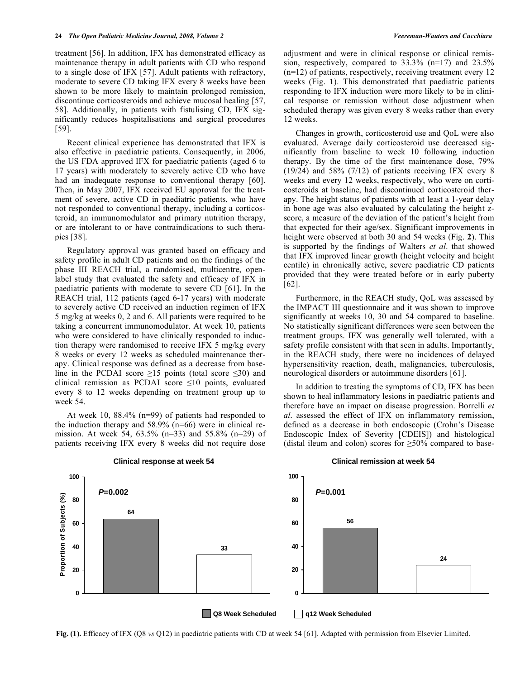treatment [56]. In addition, IFX has demonstrated efficacy as maintenance therapy in adult patients with CD who respond to a single dose of IFX [57]. Adult patients with refractory, moderate to severe CD taking IFX every 8 weeks have been shown to be more likely to maintain prolonged remission, discontinue corticosteroids and achieve mucosal healing [57, 58]. Additionally, in patients with fistulising CD, IFX significantly reduces hospitalisations and surgical procedures [59].

 Recent clinical experience has demonstrated that IFX is also effective in paediatric patients. Consequently, in 2006, the US FDA approved IFX for paediatric patients (aged 6 to 17 years) with moderately to severely active CD who have had an inadequate response to conventional therapy [60]. Then, in May 2007, IFX received EU approval for the treatment of severe, active CD in paediatric patients, who have not responded to conventional therapy, including a corticosteroid, an immunomodulator and primary nutrition therapy, or are intolerant to or have contraindications to such therapies [38].

 Regulatory approval was granted based on efficacy and safety profile in adult CD patients and on the findings of the phase III REACH trial, a randomised, multicentre, openlabel study that evaluated the safety and efficacy of IFX in paediatric patients with moderate to severe CD [61]. In the REACH trial, 112 patients (aged 6-17 years) with moderate to severely active CD received an induction regimen of IFX 5 mg/kg at weeks 0, 2 and 6. All patients were required to be taking a concurrent immunomodulator. At week 10, patients who were considered to have clinically responded to induction therapy were randomised to receive IFX 5 mg/kg every 8 weeks or every 12 weeks as scheduled maintenance therapy. Clinical response was defined as a decrease from baseline in the PCDAI score  $\geq$ 15 points (total score  $\leq$ 30) and clinical remission as PCDAI score  $\leq 10$  points, evaluated every 8 to 12 weeks depending on treatment group up to week 54.

 At week 10, 88.4% (n=99) of patients had responded to the induction therapy and 58.9% (n=66) were in clinical remission. At week 54, 63.5% (n=33) and 55.8% (n=29) of patients receiving IFX every 8 weeks did not require dose

adjustment and were in clinical response or clinical remission, respectively, compared to 33.3% (n=17) and 23.5%  $(n=12)$  of patients, respectively, receiving treatment every 12 weeks (Fig. **1**). This demonstrated that paediatric patients responding to IFX induction were more likely to be in clinical response or remission without dose adjustment when scheduled therapy was given every 8 weeks rather than every 12 weeks.

 Changes in growth, corticosteroid use and QoL were also evaluated. Average daily corticosteroid use decreased significantly from baseline to week 10 following induction therapy. By the time of the first maintenance dose, 79% (19/24) and 58% (7/12) of patients receiving IFX every 8 weeks and every 12 weeks, respectively, who were on corticosteroids at baseline, had discontinued corticosteroid therapy. The height status of patients with at least a 1-year delay in bone age was also evaluated by calculating the height zscore, a measure of the deviation of the patient's height from that expected for their age/sex. Significant improvements in height were observed at both 30 and 54 weeks (Fig. **2**). This is supported by the findings of Walters *et al*. that showed that IFX improved linear growth (height velocity and height centile) in chronically active, severe paediatric CD patients provided that they were treated before or in early puberty [62].

 Furthermore, in the REACH study, QoL was assessed by the IMPACT III questionnaire and it was shown to improve significantly at weeks 10, 30 and 54 compared to baseline. No statistically significant differences were seen between the treatment groups. IFX was generally well tolerated, with a safety profile consistent with that seen in adults. Importantly, in the REACH study, there were no incidences of delayed hypersensitivity reaction, death, malignancies, tuberculosis, neurological disorders or autoimmune disorders [61].

 In addition to treating the symptoms of CD, IFX has been shown to heal inflammatory lesions in paediatric patients and therefore have an impact on disease progression. Borrelli *et al*. assessed the effect of IFX on inflammatory remission, defined as a decrease in both endoscopic (Crohn's Disease Endoscopic Index of Severity [CDEIS]) and histological (distal ileum and colon) scores for  $\geq$ 50% compared to base-



**Fig. (1).** Efficacy of IFX (Q8 *vs* Q12) in paediatric patients with CD at week 54 [61]. Adapted with permission from Elsevier Limited.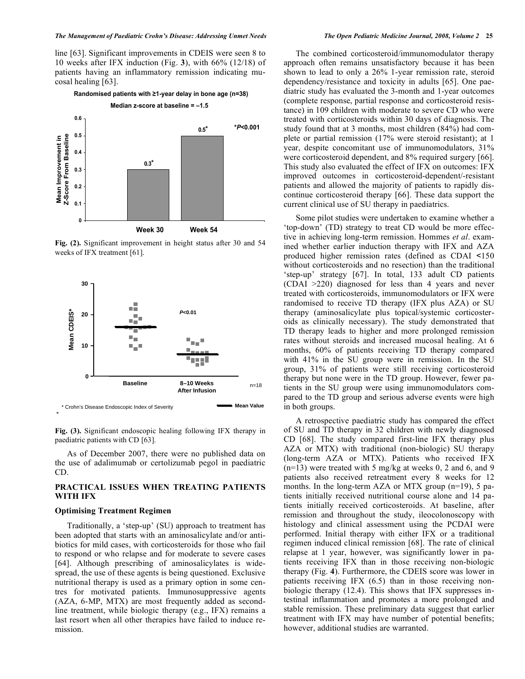line [63]. Significant improvements in CDEIS were seen 8 to 10 weeks after IFX induction (Fig. **3**), with 66% (12/18) of patients having an inflammatory remission indicating mucosal healing [63].

# **Randomised patients with 1-year delay in bone age (n=38)**



**Fig. (2).** Significant improvement in height status after 30 and 54 weeks of IFX treatment [61].



**Fig. (3).** Significant endoscopic healing following IFX therapy in paediatric patients with CD [63].

 As of December 2007, there were no published data on the use of adalimumab or certolizumab pegol in paediatric CD.

# **PRACTICAL ISSUES WHEN TREATING PATIENTS WITH IFX**

#### **Optimising Treatment Regimen**

 Traditionally, a 'step-up' (SU) approach to treatment has been adopted that starts with an aminosalicylate and/or antibiotics for mild cases, with corticosteroids for those who fail to respond or who relapse and for moderate to severe cases [64]. Although prescribing of aminosalicylates is widespread, the use of these agents is being questioned. Exclusive nutritional therapy is used as a primary option in some centres for motivated patients. Immunosuppressive agents (AZA, 6-MP, MTX) are most frequently added as secondline treatment, while biologic therapy (e.g., IFX) remains a last resort when all other therapies have failed to induce remission.

 The combined corticosteroid/immunomodulator therapy approach often remains unsatisfactory because it has been shown to lead to only a 26% 1-year remission rate, steroid dependency/resistance and toxicity in adults [65]. One paediatric study has evaluated the 3-month and 1-year outcomes (complete response, partial response and corticosteroid resistance) in 109 children with moderate to severe CD who were treated with corticosteroids within 30 days of diagnosis. The study found that at 3 months, most children (84%) had complete or partial remission (17% were steroid resistant); at 1 year, despite concomitant use of immunomodulators, 31% were corticosteroid dependent, and 8% required surgery [66]. This study also evaluated the effect of IFX on outcomes: IFX improved outcomes in corticosteroid-dependent/-resistant patients and allowed the majority of patients to rapidly discontinue corticosteroid therapy [66]. These data support the current clinical use of SU therapy in paediatrics.

 Some pilot studies were undertaken to examine whether a 'top-down' (TD) strategy to treat CD would be more effective in achieving long-term remission. Hommes *et al*. examined whether earlier induction therapy with IFX and AZA produced higher remission rates (defined as CDAI <150 without corticosteroids and no resection) than the traditional 'step-up' strategy [67]. In total, 133 adult CD patients (CDAI >220) diagnosed for less than 4 years and never treated with corticosteroids, immunomodulators or IFX were randomised to receive TD therapy (IFX plus AZA) or SU therapy (aminosalicylate plus topical/systemic corticosteroids as clinically necessary). The study demonstrated that TD therapy leads to higher and more prolonged remission rates without steroids and increased mucosal healing. At 6 months, 60% of patients receiving TD therapy compared with 41% in the SU group were in remission. In the SU group, 31% of patients were still receiving corticosteroid therapy but none were in the TD group. However, fewer patients in the SU group were using immunomodulators compared to the TD group and serious adverse events were high in both groups.

 A retrospective paediatric study has compared the effect of SU and TD therapy in 32 children with newly diagnosed CD [68]. The study compared first-line IFX therapy plus AZA or MTX) with traditional (non-biologic) SU therapy (long-term AZA or MTX). Patients who received IFX  $(n=13)$  were treated with 5 mg/kg at weeks 0, 2 and 6, and 9 patients also received retreatment every 8 weeks for 12 months. In the long-term AZA or MTX group (n=19), 5 patients initially received nutritional course alone and 14 patients initially received corticosteroids. At baseline, after remission and throughout the study, ileocolonoscopy with histology and clinical assessment using the PCDAI were performed. Initial therapy with either IFX or a traditional regimen induced clinical remission [68]. The rate of clinical relapse at 1 year, however, was significantly lower in patients receiving IFX than in those receiving non-biologic therapy (Fig. **4**). Furthermore, the CDEIS score was lower in patients receiving IFX (6.5) than in those receiving nonbiologic therapy (12.4). This shows that IFX suppresses intestinal inflammation and promotes a more prolonged and stable remission. These preliminary data suggest that earlier treatment with IFX may have number of potential benefits; however, additional studies are warranted.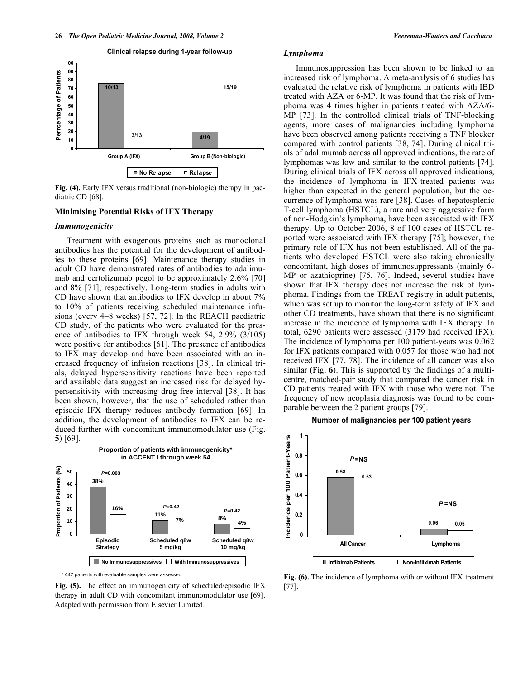

**Fig. (4).** Early IFX versus traditional (non-biologic) therapy in paediatric CD [68].

## **Minimising Potential Risks of IFX Therapy**

#### *Immunogenicity*

 Treatment with exogenous proteins such as monoclonal antibodies has the potential for the development of antibodies to these proteins [69]. Maintenance therapy studies in adult CD have demonstrated rates of antibodies to adalimumab and certolizumab pegol to be approximately 2.6% [70] and 8% [71], respectively. Long-term studies in adults with CD have shown that antibodies to IFX develop in about 7% to 10% of patients receiving scheduled maintenance infusions (every 4–8 weeks) [57, 72]. In the REACH paediatric CD study, of the patients who were evaluated for the presence of antibodies to IFX through week 54, 2.9% (3/105) were positive for antibodies [61]. The presence of antibodies to IFX may develop and have been associated with an increased frequency of infusion reactions [38]. In clinical trials, delayed hypersensitivity reactions have been reported and available data suggest an increased risk for delayed hypersensitivity with increasing drug-free interval [38]. It has been shown, however, that the use of scheduled rather than episodic IFX therapy reduces antibody formation [69]. In addition, the development of antibodies to IFX can be reduced further with concomitant immunomodulator use (Fig. **5**) [69].



\* 442 patients with evaluable samples were assessed.

**Fig. (5).** The effect on immunogenicity of scheduled/episodic IFX therapy in adult CD with concomitant immunomodulator use [69]. Adapted with permission from Elsevier Limited.

#### *Lymphoma*

 Immunosuppression has been shown to be linked to an increased risk of lymphoma. A meta-analysis of 6 studies has evaluated the relative risk of lymphoma in patients with IBD treated with AZA or 6-MP. It was found that the risk of lymphoma was 4 times higher in patients treated with AZA/6- MP [73]. In the controlled clinical trials of TNF-blocking agents, more cases of malignancies including lymphoma have been observed among patients receiving a TNF blocker compared with control patients [38, 74]. During clinical trials of adalimumab across all approved indications, the rate of lymphomas was low and similar to the control patients [74]. During clinical trials of IFX across all approved indications, the incidence of lymphoma in IFX-treated patients was higher than expected in the general population, but the occurrence of lymphoma was rare [38]. Cases of hepatosplenic T-cell lymphoma (HSTCL), a rare and very aggressive form of non-Hodgkin's lymphoma, have been associated with IFX therapy. Up to October 2006, 8 of 100 cases of HSTCL reported were associated with IFX therapy [75]; however, the primary role of IFX has not been established. All of the patients who developed HSTCL were also taking chronically concomitant, high doses of immunosuppressants (mainly 6- MP or azathioprine) [75, 76]. Indeed, several studies have shown that IFX therapy does not increase the risk of lymphoma. Findings from the TREAT registry in adult patients, which was set up to monitor the long-term safety of IFX and other CD treatments, have shown that there is no significant increase in the incidence of lymphoma with IFX therapy. In total, 6290 patients were assessed (3179 had received IFX). The incidence of lymphoma per 100 patient-years was 0.062 for IFX patients compared with 0.057 for those who had not received IFX [77, 78]. The incidence of all cancer was also similar (Fig. **6**). This is supported by the findings of a multicentre, matched-pair study that compared the cancer risk in CD patients treated with IFX with those who were not. The frequency of new neoplasia diagnosis was found to be comparable between the 2 patient groups [79].

#### **Number of malignancies per 100 patient years**



**Fig. (6).** The incidence of lymphoma with or without IFX treatment [77].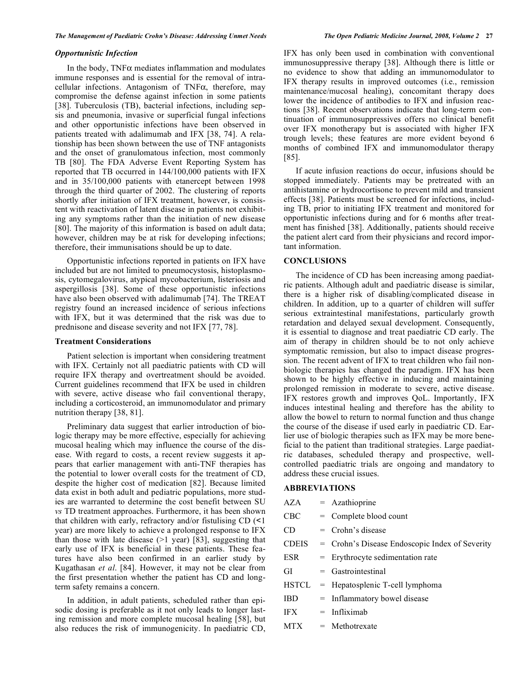# *Opportunistic Infection*

In the body,  $TNF\alpha$  mediates inflammation and modulates immune responses and is essential for the removal of intracellular infections. Antagonism of TNF $\alpha$ , therefore, may compromise the defense against infection in some patients [38]. Tuberculosis (TB), bacterial infections, including sepsis and pneumonia, invasive or superficial fungal infections and other opportunistic infections have been observed in patients treated with adalimumab and IFX [38, 74]. A relationship has been shown between the use of TNF antagonists and the onset of granulomatous infection, most commonly TB [80]. The FDA Adverse Event Reporting System has reported that TB occurred in 144/100,000 patients with IFX and in 35/100,000 patients with etanercept between 1998 through the third quarter of 2002. The clustering of reports shortly after initiation of IFX treatment, however, is consistent with reactivation of latent disease in patients not exhibiting any symptoms rather than the initiation of new disease [80]. The majority of this information is based on adult data; however, children may be at risk for developing infections; therefore, their immunisations should be up to date.

 Opportunistic infections reported in patients on IFX have included but are not limited to pneumocystosis, histoplasmosis, cytomegalovirus, atypical mycobacterium, listeriosis and aspergillosis [38]. Some of these opportunistic infections have also been observed with adalimumab [74]. The TREAT registry found an increased incidence of serious infections with IFX, but it was determined that the risk was due to prednisone and disease severity and not IFX [77, 78].

#### **Treatment Considerations**

 Patient selection is important when considering treatment with IFX. Certainly not all paediatric patients with CD will require IFX therapy and overtreatment should be avoided. Current guidelines recommend that IFX be used in children with severe, active disease who fail conventional therapy, including a corticosteroid, an immunomodulator and primary nutrition therapy [38, 81].

 Preliminary data suggest that earlier introduction of biologic therapy may be more effective, especially for achieving mucosal healing which may influence the course of the disease. With regard to costs, a recent review suggests it appears that earlier management with anti-TNF therapies has the potential to lower overall costs for the treatment of CD, despite the higher cost of medication [82]. Because limited data exist in both adult and pediatric populations, more studies are warranted to determine the cost benefit between SU *vs* TD treatment approaches. Furthermore, it has been shown that children with early, refractory and/or fistulising CD (<1 year) are more likely to achieve a prolonged response to IFX than those with late disease  $(>1$  year) [83], suggesting that early use of IFX is beneficial in these patients. These features have also been confirmed in an earlier study by Kugathasan *et al*. [84]. However, it may not be clear from the first presentation whether the patient has CD and longterm safety remains a concern.

 In addition, in adult patients, scheduled rather than episodic dosing is preferable as it not only leads to longer lasting remission and more complete mucosal healing [58], but also reduces the risk of immunogenicity. In paediatric CD, IFX has only been used in combination with conventional immunosuppressive therapy [38]. Although there is little or no evidence to show that adding an immunomodulator to IFX therapy results in improved outcomes (i.e., remission maintenance/mucosal healing), concomitant therapy does lower the incidence of antibodies to IFX and infusion reactions [38]. Recent observations indicate that long-term continuation of immunosuppressives offers no clinical benefit over IFX monotherapy but is associated with higher IFX trough levels; these features are more evident beyond 6 months of combined IFX and immunomodulator therapy [85].

 If acute infusion reactions do occur, infusions should be stopped immediately. Patients may be pretreated with an antihistamine or hydrocortisone to prevent mild and transient effects [38]. Patients must be screened for infections, including TB, prior to initiating IFX treatment and monitored for opportunistic infections during and for 6 months after treatment has finished [38]. Additionally, patients should receive the patient alert card from their physicians and record important information.

#### **CONCLUSIONS**

 The incidence of CD has been increasing among paediatric patients. Although adult and paediatric disease is similar, there is a higher risk of disabling/complicated disease in children. In addition, up to a quarter of children will suffer serious extraintestinal manifestations, particularly growth retardation and delayed sexual development. Consequently, it is essential to diagnose and treat paediatric CD early. The aim of therapy in children should be to not only achieve symptomatic remission, but also to impact disease progression. The recent advent of IFX to treat children who fail nonbiologic therapies has changed the paradigm. IFX has been shown to be highly effective in inducing and maintaining prolonged remission in moderate to severe, active disease. IFX restores growth and improves QoL. Importantly, IFX induces intestinal healing and therefore has the ability to allow the bowel to return to normal function and thus change the course of the disease if used early in paediatric CD. Earlier use of biologic therapies such as IFX may be more beneficial to the patient than traditional strategies. Large paediatric databases, scheduled therapy and prospective, wellcontrolled paediatric trials are ongoing and mandatory to address these crucial issues.

#### **ABBREVIATIONS**

| AZA   | $=$ Azathioprine                               |
|-------|------------------------------------------------|
| CBC   | $=$ Complete blood count                       |
| CD    | $=$ Crohn's disease                            |
| CDEIS | = Crohn's Disease Endoscopic Index of Severity |
| ESR   | $=$ Erythrocyte sedimentation rate             |
| GI    | $=$ Gastrointestinal                           |
| HSTCL | = Hepatosplenic T-cell lymphoma                |
| IBD   | $=$ Inflammatory bowel disease                 |
| IFX   | $=$ Infliximab                                 |
| MTX   | $=$ Methotrexate                               |
|       |                                                |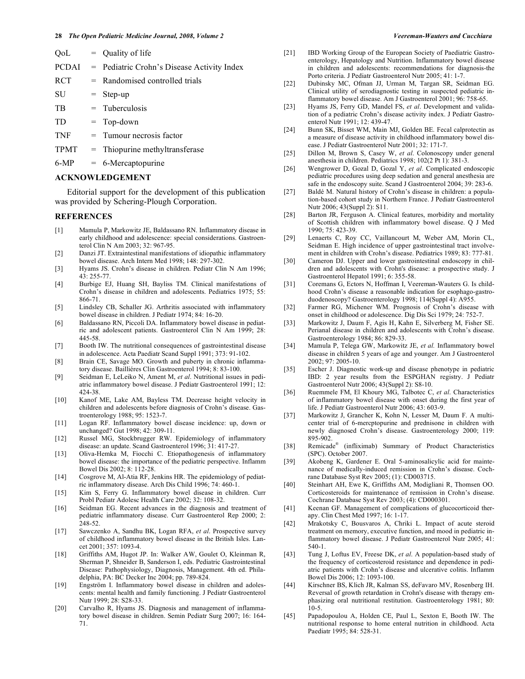| OoL          | $=$ Quality of life                        |
|--------------|--------------------------------------------|
| <b>PCDAI</b> | = Pediatric Crohn's Disease Activity Index |
| <b>RCT</b>   | $=$ Randomised controlled trials           |
| SU           | $=$ Step-up                                |
| TВ           | $=$ Tuberculosis                           |
| TD           | $=$ Top-down                               |
| TNF          | $=$ Tumour necrosis factor                 |
|              |                                            |

- TPMT = Thiopurine methyltransferase
- $6-MP = 6-Mercapto^i$

#### **ACKNOWLEDGEMENT**

 Editorial support for the development of this publication was provided by Schering-Plough Corporation.

### **REFERENCES**

- [1] Mamula P, Markowitz JE, Baldassano RN. Inflammatory disease in early childhood and adolescence: special considerations. Gastroenterol Clin N Am 2003; 32: 967-95.
- [2] Danzi JT. Extraintestinal manifestations of idiopathic inflammatory bowel disease. Arch Intern Med 1998; 148: 297-302.
- [3] Hyams JS. Crohn's disease in children. Pediatr Clin N Am 1996; 43: 255-77.
- [4] Burbige EJ, Huang SH, Bayliss TM. Clinical manifestations of Crohn's disease in children and adolescents. Pediatrics 1975; 55: 866-71.
- [5] Lindsley CB, Schaller JG. Arthritis associated with inflammatory bowel disease in children. J Pediatr 1974; 84: 16-20.
- [6] Baldassano RN, Piccoli DA. Inflammatory bowel disease in pediatric and adolescent patients. Gastroenterol Clin N Am 1999; 28: 445-58.
- [7] Booth IW. The nutritional consequences of gastrointestinal disease in adolescence. Acta Paediatr Scand Suppl 1991; 373: 91-102.
- [8] Brain CE, Savage MO. Growth and puberty in chronic inflammatory disease. Bailliéres Clin Gastroenterol 1994; 8: 83-100.
- [9] Seidman E, LeLeiko N, Ament M, *et al*. Nutritional issues in pediatric inflammatory bowel disease. J Pediatr Gastroenterol 1991; 12: 424-38.
- [10] Kanof ME, Lake AM, Bayless TM. Decrease height velocity in children and adolescents before diagnosis of Crohn's disease. Gastroenterology 1988; 95: 1523-7.
- [11] Logan RF. Inflammatory bowel disease incidence: up, down or unchanged? Gut 1998; 42: 309-11.
- [12] Russel MG, Stockbrugger RW. Epidemiology of inflammatory disease: an update. Scand Gastroenterol 1996; 31: 417-27.
- [13] Oliva-Hemka M, Fiocchi C. Etiopathogenesis of inflammatory bowel disease: the importance of the pediatric perspective. Inflamm Bowel Dis 2002; 8: 112-28.
- [14] Cosgrove M, Al-Atia RF, Jenkins HR. The epidemiology of pediatric inflammatory disease. Arch Dis Child 1996; 74: 460-1.
- [15] Kim S, Ferry G. Inflammatory bowel disease in children. Curr Probl Pediatr Adolesc Health Care 2002; 32: 108-32.
- [16] Seidman EG. Recent advances in the diagnosis and treatment of pediatric inflammatory disease. Curr Gastroenterol Rep 2000; 2: 248-52.
- [17] Sawczenko A, Sandhu BK, Logan RFA, *et al*. Prospective survey of childhood inflammatory bowel disease in the British Isles. Lancet 2001; 357: 1093-4.
- [18] Griffiths AM, Hugot JP. In: Walker AW, Goulet O, Kleinman R, Sherman P, Shneider B, Sanderson I, eds. Pediatric Gastrointestinal Disease: Pathophysiology, Diagnosis, Management. 4th ed. Philadelphia, PA: BC Decker Inc 2004; pp. 789-824.
- [19] Engström I. Inflammatory bowel disease in children and adolescents: mental health and family functioning. J Pediatr Gastroenterol Nutr 1999; 28: S28-33.
- [20] Carvalho R, Hyams JS. Diagnosis and management of inflammatory bowel disease in children. Semin Pediatr Surg 2007; 16: 164- 71.
- [21] IBD Working Group of the European Society of Paediatric Gastroenterology, Hepatology and Nutrition. Inflammatory bowel disease in children and adolescents: recommendations for diagnosis-the Porto criteria. J Pediatr Gastroenterol Nutr 2005; 41: 1-7.
- [22] Dubinsky MC, Ofman JJ, Urman M, Targan SR, Seidman EG. Clinical utility of serodiagnostic testing in suspected pediatric inflammatory bowel disease. Am J Gastroenterol 2001; 96: 758-65.
- [23] Hyams JS, Ferry GD, Mandel FS, *et al*. Development and validation of a pediatric Crohn's disease activity index. J Pediatr Gastroenterol Nutr 1991; 12: 439-47.
- [24] Bunn SK, Bisset WM, Main MJ, Golden BE. Fecal calprotectin as a measure of disease activity in childhood inflammatory bowel disease. J Pediatr Gastroenterol Nutr 2001; 32: 171-7.
- [25] Dillon M, Brown S, Casey W, *et al*. Colonoscopy under general anesthesia in children. Pediatrics 1998; 102(2 Pt 1): 381-3.
- [26] Wengrower D, Gozal D, Gozal Y, *et al*. Complicated endoscopic pediatric procedures using deep sedation and general anesthesia are safe in the endoscopy suite. Scand J Gastroenterol 2004; 39: 283-6.
- [27] Baldé M. Natural history of Crohn's disease in children: a population-based cohort study in Northern France. J Pediatr Gastroenterol Nutr 2006; 43(Suppl 2): S11.
- [28] Barton JR, Ferguson A. Clinical features, morbidity and mortality of Scottish children with inflammatory bowel disease. Q J Med 1990; 75: 423-39.
- [29] Lenaerts C, Roy CC, Vaillancourt M, Weber AM, Morin CL, Seidman E. High incidence of upper gastrointestinal tract involvement in children with Crohn's disease. Pediatrics 1989; 83: 777-81.
- [30] Cameron DJ. Upper and lower gastrointestinal endoscopy in children and adolescents with Crohn's disease: a prospective study. J Gastroenterol Hepatol 1991; 6: 355-58.
- [31] Coremans G, Ectors N, Hoffman I, Veereman-Wauters G. Is childhood Crohn's disease a reasonable indication for esophago-gastroduodenoscopy? Gastroenterology 1998; 114(Suppl 4): A955.
- [32] Farmer RG, Michener WM. Prognosis of Crohn's disease with onset in childhood or adolescence. Dig Dis Sci 1979; 24: 752-7.
- [33] Markowitz J, Daum F, Agis H, Kahn E, Silverberg M, Fisher SE. Perianal disease in children and adolescents with Crohn's disease. Gastroenterology 1984; 86: 829-33.
- [34] Mamula P, Telega GW, Markowitz JE, *et al.* Inflammatory bowel disease in children 5 years of age and younger. Am J Gastroenterol 2002; 97: 2005-10.
- [35] Escher J. Diagnostic work-up and disease phenotype in pediatric IBD: 2 year results from the ESPGHAN registry. J Pediatr Gastroenterol Nutr 2006; 43(Suppl 2): S8-10.
- [36] Ruemmele FM, El Khoury MG, Talbotec C, *et al*. Characteristics of inflammatory bowel disease with onset during the first year of life. J Pediatr Gastroenterol Nutr 2006; 43: 603-9.
- [37] Markowitz J, Grancher K, Kohn N, Lesser M, Daum F. A multicenter trial of 6-mercptopurine and prednisone in children with newly diagnosed Crohn's disease. Gastroenterology 2000; 119: 895-902.
- [38] Remicade® (infliximab) Summary of Product Characteristics (SPC). October 2007.
- [39] Akobeng K, Gardener E. Oral 5-aminosalicylic acid for maintenance of medically-induced remission in Crohn's disease. Cochrane Database Syst Rev 2005; (1): CD003715.
- [40] Steinhart AH, Ewe K, Griffiths AM, Modigliani R, Thomsen OO. Corticosteroids for maintenance of remission in Crohn's disease. Cochrane Database Syst Rev 2003; (4): CD000301.
- [41] Keenan GF. Management of complications of glucocorticoid therapy. Clin Chest Med 1997; 16: 1-17.
- [42] Mrakotsky C, Bousvaros A, Chriki L. Impact of acute steroid treatment on memory, executive function, and mood in pediatric inflammatory bowel disease. J Pediatr Gastroenterol Nutr 2005; 41: 540-1.
- [43] Tung J, Loftus EV, Freese DK, *et al*. A population-based study of the frequency of corticosteroid resistance and dependence in pediatric patients with Crohn's disease and ulcerative colitis. Inflamm Bowel Dis 2006; 12: 1093-100.
- [44] Kirschner BS, Klich JR, Kalman SS, deFavaro MV, Rosenberg IH. Reversal of growth retardation in Crohn's disease with therapy emphasizing oral nutritional restitution. Gastroenterology 1981; 80: 10-5.
- [45] Papadopoulou A, Holden CE, Paul L, Sexton E, Booth IW. The nutritional response to home enteral nutrition in childhood. Acta Paediatr 1995; 84: 528-31.